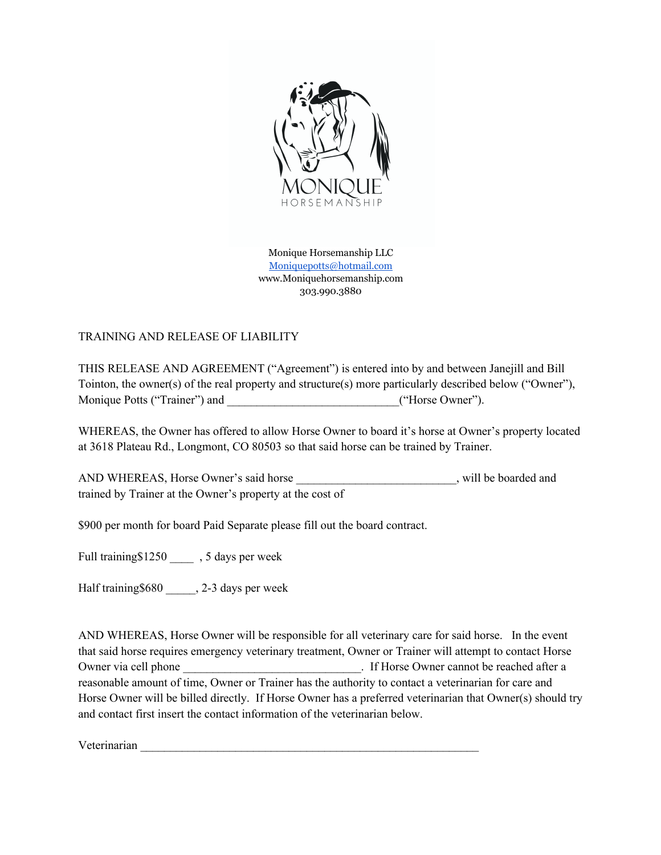

Monique Horsemanship LLC Moniquepotts@hotmail.com www.Moniquehorsemanship.com 303.990.3880

## TRAINING AND RELEASE OF LIABILITY

THIS RELEASE AND AGREEMENT ("Agreement") is entered into by and between Janejill and Bill Tointon, the owner(s) of the real property and structure(s) more particularly described below ("Owner"), Monique Potts ("Trainer") and  $($ "Horse Owner").

WHEREAS, the Owner has offered to allow Horse Owner to board it's horse at Owner's property located at 3618 Plateau Rd., Longmont, CO 80503 so that said horse can be trained by Trainer.

AND WHEREAS, Horse Owner's said horse \_\_\_\_\_\_\_\_\_\_\_\_\_\_\_\_\_\_\_\_\_\_\_\_\_\_\_\_\_, will be boarded and trained by Trainer at the Owner's property at the cost of

\$900 per month for board Paid Separate please fill out the board contract.

Full training\$1250 \_\_\_\_ , 5 days per week

Half training \$680  $\qquad$ , 2-3 days per week

AND WHEREAS, Horse Owner will be responsible for all veterinary care for said horse. In the event that said horse requires emergency veterinary treatment, Owner or Trainer will attempt to contact Horse Owner via cell phone **be reached after a** left Horse Owner cannot be reached after a reasonable amount of time, Owner or Trainer has the authority to contact a veterinarian for care and Horse Owner will be billed directly. If Horse Owner has a preferred veterinarian that Owner(s) should try and contact first insert the contact information of the veterinarian below.

Veterinarian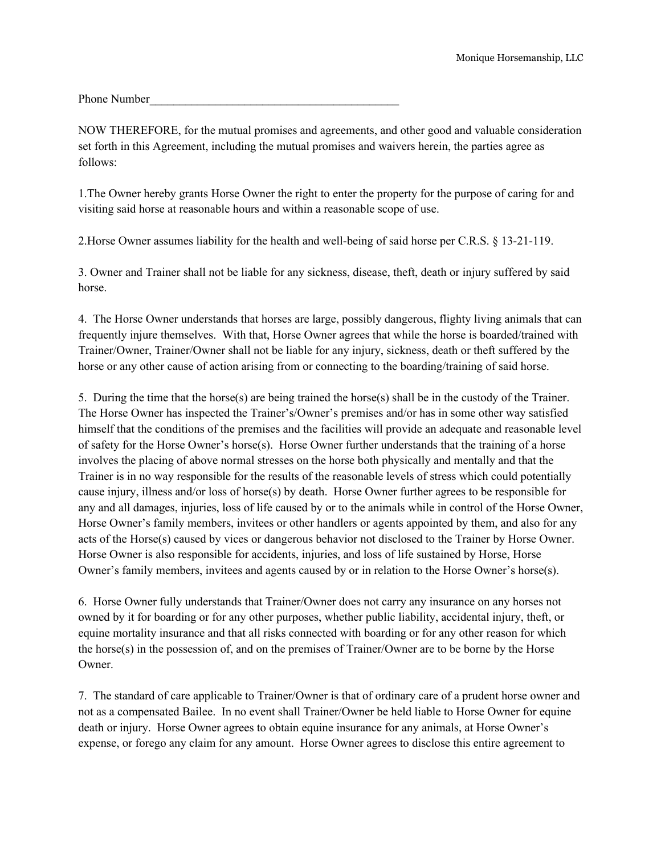Phone Number

NOW THEREFORE, for the mutual promises and agreements, and other good and valuable consideration set forth in this Agreement, including the mutual promises and waivers herein, the parties agree as follows:

1.The Owner hereby grants Horse Owner the right to enter the property for the purpose of caring for and visiting said horse at reasonable hours and within a reasonable scope of use.

2.Horse Owner assumes liability for the health and well-being of said horse per C.R.S. § 13-21-119.

3. Owner and Trainer shall not be liable for any sickness, disease, theft, death or injury suffered by said horse.

4. The Horse Owner understands that horses are large, possibly dangerous, flighty living animals that can frequently injure themselves. With that, Horse Owner agrees that while the horse is boarded/trained with Trainer/Owner, Trainer/Owner shall not be liable for any injury, sickness, death or theft suffered by the horse or any other cause of action arising from or connecting to the boarding/training of said horse.

5. During the time that the horse(s) are being trained the horse(s) shall be in the custody of the Trainer. The Horse Owner has inspected the Trainer's/Owner's premises and/or has in some other way satisfied himself that the conditions of the premises and the facilities will provide an adequate and reasonable level of safety for the Horse Owner's horse(s). Horse Owner further understands that the training of a horse involves the placing of above normal stresses on the horse both physically and mentally and that the Trainer is in no way responsible for the results of the reasonable levels of stress which could potentially cause injury, illness and/or loss of horse(s) by death. Horse Owner further agrees to be responsible for any and all damages, injuries, loss of life caused by or to the animals while in control of the Horse Owner, Horse Owner's family members, invitees or other handlers or agents appointed by them, and also for any acts of the Horse(s) caused by vices or dangerous behavior not disclosed to the Trainer by Horse Owner. Horse Owner is also responsible for accidents, injuries, and loss of life sustained by Horse, Horse Owner's family members, invitees and agents caused by or in relation to the Horse Owner's horse(s).

6. Horse Owner fully understands that Trainer/Owner does not carry any insurance on any horses not owned by it for boarding or for any other purposes, whether public liability, accidental injury, theft, or equine mortality insurance and that all risks connected with boarding or for any other reason for which the horse(s) in the possession of, and on the premises of Trainer/Owner are to be borne by the Horse Owner.

7. The standard of care applicable to Trainer/Owner is that of ordinary care of a prudent horse owner and not as a compensated Bailee. In no event shall Trainer/Owner be held liable to Horse Owner for equine death or injury. Horse Owner agrees to obtain equine insurance for any animals, at Horse Owner's expense, or forego any claim for any amount. Horse Owner agrees to disclose this entire agreement to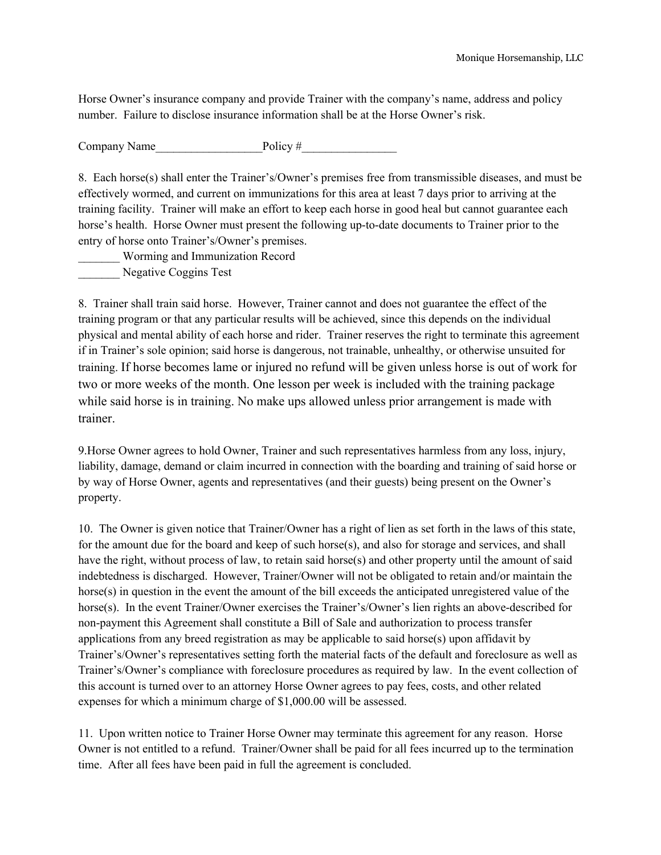Horse Owner's insurance company and provide Trainer with the company's name, address and policy number. Failure to disclose insurance information shall be at the Horse Owner's risk.

Company Name Policy #

8. Each horse(s) shall enter the Trainer's/Owner's premises free from transmissible diseases, and must be effectively wormed, and current on immunizations for this area at least 7 days prior to arriving at the training facility. Trainer will make an effort to keep each horse in good heal but cannot guarantee each horse's health. Horse Owner must present the following up-to-date documents to Trainer prior to the entry of horse onto Trainer's/Owner's premises.

\_\_\_\_\_\_\_ Worming and Immunization Record Negative Coggins Test

8. Trainer shall train said horse. However, Trainer cannot and does not guarantee the effect of the training program or that any particular results will be achieved, since this depends on the individual physical and mental ability of each horse and rider. Trainer reserves the right to terminate this agreement if in Trainer's sole opinion; said horse is dangerous, not trainable, unhealthy, or otherwise unsuited for training. If horse becomes lame or injured no refund will be given unless horse is out of work for two or more weeks of the month. One lesson per week is included with the training package while said horse is in training. No make ups allowed unless prior arrangement is made with trainer.

9.Horse Owner agrees to hold Owner, Trainer and such representatives harmless from any loss, injury, liability, damage, demand or claim incurred in connection with the boarding and training of said horse or by way of Horse Owner, agents and representatives (and their guests) being present on the Owner's property.

10. The Owner is given notice that Trainer/Owner has a right of lien as set forth in the laws of this state, for the amount due for the board and keep of such horse(s), and also for storage and services, and shall have the right, without process of law, to retain said horse(s) and other property until the amount of said indebtedness is discharged. However, Trainer/Owner will not be obligated to retain and/or maintain the horse(s) in question in the event the amount of the bill exceeds the anticipated unregistered value of the horse(s). In the event Trainer/Owner exercises the Trainer's/Owner's lien rights an above-described for non-payment this Agreement shall constitute a Bill of Sale and authorization to process transfer applications from any breed registration as may be applicable to said horse(s) upon affidavit by Trainer's/Owner's representatives setting forth the material facts of the default and foreclosure as well as Trainer's/Owner's compliance with foreclosure procedures as required by law. In the event collection of this account is turned over to an attorney Horse Owner agrees to pay fees, costs, and other related expenses for which a minimum charge of \$1,000.00 will be assessed.

11. Upon written notice to Trainer Horse Owner may terminate this agreement for any reason. Horse Owner is not entitled to a refund. Trainer/Owner shall be paid for all fees incurred up to the termination time. After all fees have been paid in full the agreement is concluded.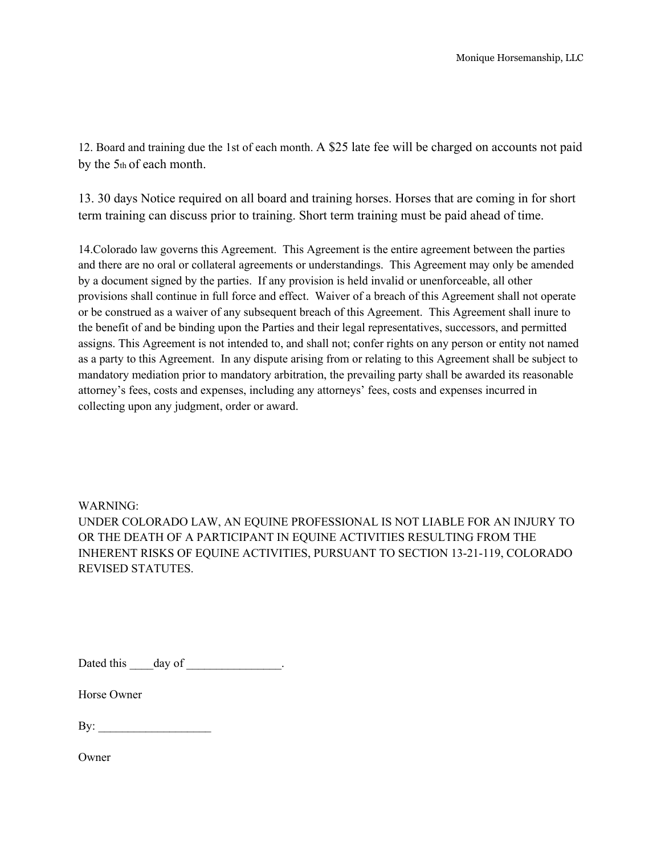12. Board and training due the 1st of each month. A \$25 late fee will be charged on accounts not paid by the 5th of each month.

13. 30 days Notice required on all board and training horses. Horses that are coming in for short term training can discuss prior to training. Short term training must be paid ahead of time.

14.Colorado law governs this Agreement. This Agreement is the entire agreement between the parties and there are no oral or collateral agreements or understandings. This Agreement may only be amended by a document signed by the parties. If any provision is held invalid or unenforceable, all other provisions shall continue in full force and effect. Waiver of a breach of this Agreement shall not operate or be construed as a waiver of any subsequent breach of this Agreement. This Agreement shall inure to the benefit of and be binding upon the Parties and their legal representatives, successors, and permitted assigns. This Agreement is not intended to, and shall not; confer rights on any person or entity not named as a party to this Agreement. In any dispute arising from or relating to this Agreement shall be subject to mandatory mediation prior to mandatory arbitration, the prevailing party shall be awarded its reasonable attorney's fees, costs and expenses, including any attorneys' fees, costs and expenses incurred in collecting upon any judgment, order or award.

WARNING: UNDER COLORADO LAW, AN EQUINE PROFESSIONAL IS NOT LIABLE FOR AN INJURY TO OR THE DEATH OF A PARTICIPANT IN EQUINE ACTIVITIES RESULTING FROM THE INHERENT RISKS OF EQUINE ACTIVITIES, PURSUANT TO SECTION 13-21-119, COLORADO REVISED STATUTES.

Dated this day of \_\_\_\_\_\_\_\_\_\_\_\_\_\_.

Horse Owner

 $\mathbf{B}$ y:

Owner